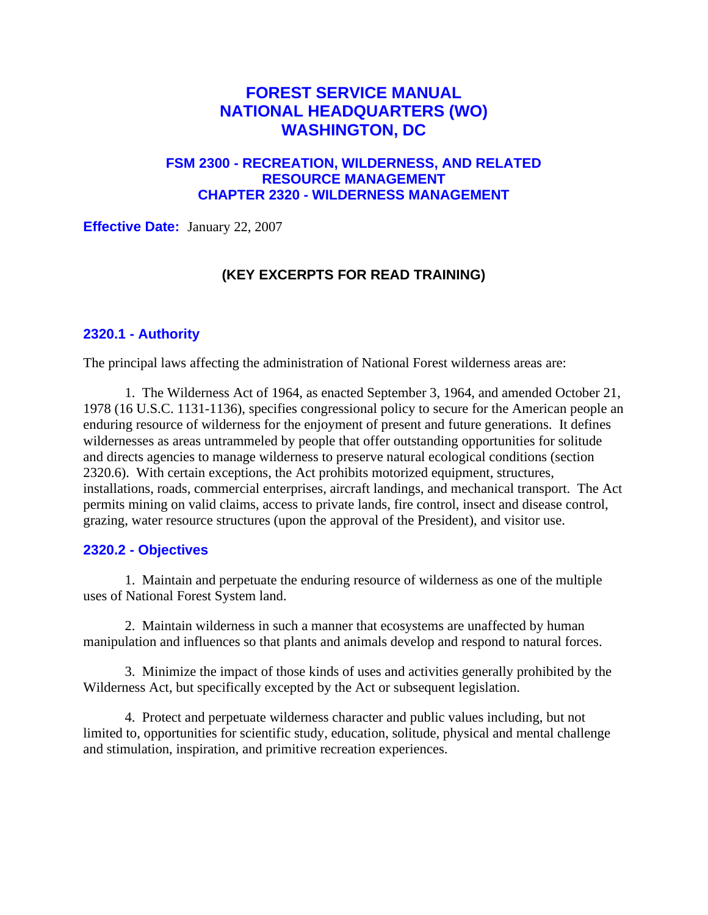# **FOREST SERVICE MANUAL NATIONAL HEADQUARTERS (WO) WASHINGTON, DC**

## **FSM 2300 - RECREATION, WILDERNESS, AND RELATED RESOURCE MANAGEMENT CHAPTER 2320 - WILDERNESS MANAGEMENT**

**Effective Date:** January 22, 2007

## **(KEY EXCERPTS FOR READ TRAINING)**

#### **2320.1 - Authority**

The principal laws affecting the administration of National Forest wilderness areas are:

1. The Wilderness Act of 1964, as enacted September 3, 1964, and amended October 21, 1978 (16 U.S.C. 1131-1136), specifies congressional policy to secure for the American people an enduring resource of wilderness for the enjoyment of present and future generations. It defines wildernesses as areas untrammeled by people that offer outstanding opportunities for solitude and directs agencies to manage wilderness to preserve natural ecological conditions (section 2320.6). With certain exceptions, the Act prohibits motorized equipment, structures, installations, roads, commercial enterprises, aircraft landings, and mechanical transport. The Act permits mining on valid claims, access to private lands, fire control, insect and disease control, grazing, water resource structures (upon the approval of the President), and visitor use.

#### **2320.2 - Objectives**

1. Maintain and perpetuate the enduring resource of wilderness as one of the multiple uses of National Forest System land.

2. Maintain wilderness in such a manner that ecosystems are unaffected by human manipulation and influences so that plants and animals develop and respond to natural forces.

3. Minimize the impact of those kinds of uses and activities generally prohibited by the Wilderness Act, but specifically excepted by the Act or subsequent legislation.

4. Protect and perpetuate wilderness character and public values including, but not limited to, opportunities for scientific study, education, solitude, physical and mental challenge and stimulation, inspiration, and primitive recreation experiences.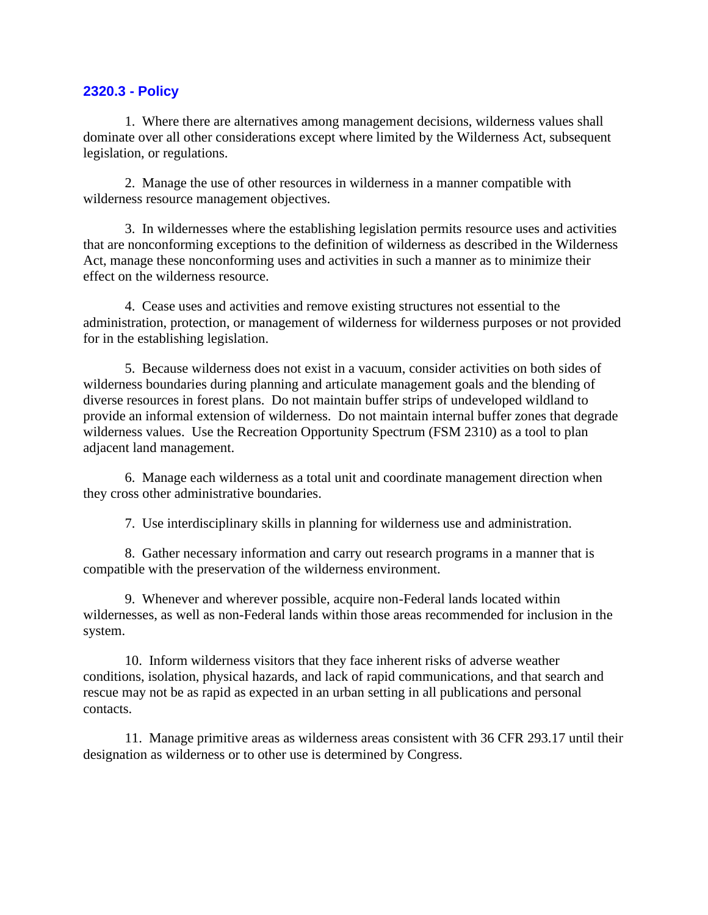#### **2320.3 - Policy**

1. Where there are alternatives among management decisions, wilderness values shall dominate over all other considerations except where limited by the Wilderness Act, subsequent legislation, or regulations.

2. Manage the use of other resources in wilderness in a manner compatible with wilderness resource management objectives.

3. In wildernesses where the establishing legislation permits resource uses and activities that are nonconforming exceptions to the definition of wilderness as described in the Wilderness Act, manage these nonconforming uses and activities in such a manner as to minimize their effect on the wilderness resource.

4. Cease uses and activities and remove existing structures not essential to the administration, protection, or management of wilderness for wilderness purposes or not provided for in the establishing legislation.

5. Because wilderness does not exist in a vacuum, consider activities on both sides of wilderness boundaries during planning and articulate management goals and the blending of diverse resources in forest plans. Do not maintain buffer strips of undeveloped wildland to provide an informal extension of wilderness. Do not maintain internal buffer zones that degrade wilderness values. Use the Recreation Opportunity Spectrum (FSM 2310) as a tool to plan adjacent land management.

6. Manage each wilderness as a total unit and coordinate management direction when they cross other administrative boundaries.

7. Use interdisciplinary skills in planning for wilderness use and administration.

8. Gather necessary information and carry out research programs in a manner that is compatible with the preservation of the wilderness environment.

9. Whenever and wherever possible, acquire non-Federal lands located within wildernesses, as well as non-Federal lands within those areas recommended for inclusion in the system.

10. Inform wilderness visitors that they face inherent risks of adverse weather conditions, isolation, physical hazards, and lack of rapid communications, and that search and rescue may not be as rapid as expected in an urban setting in all publications and personal contacts.

11. Manage primitive areas as wilderness areas consistent with 36 CFR 293.17 until their designation as wilderness or to other use is determined by Congress.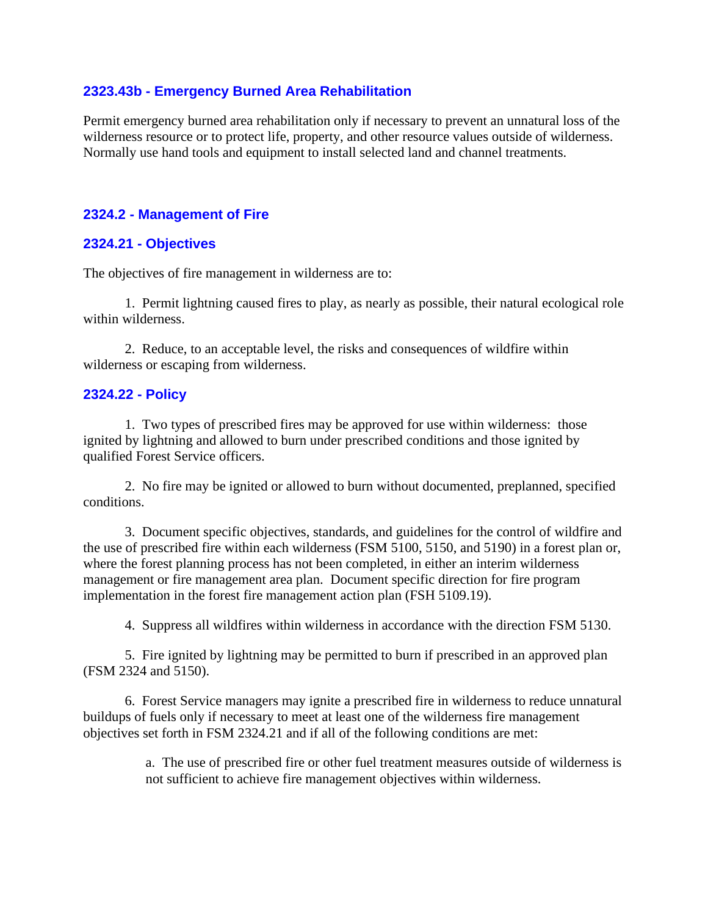### **2323.43b - Emergency Burned Area Rehabilitation**

Permit emergency burned area rehabilitation only if necessary to prevent an unnatural loss of the wilderness resource or to protect life, property, and other resource values outside of wilderness. Normally use hand tools and equipment to install selected land and channel treatments.

### **2324.2 - Management of Fire**

#### **2324.21 - Objectives**

The objectives of fire management in wilderness are to:

1. Permit lightning caused fires to play, as nearly as possible, their natural ecological role within wilderness.

2. Reduce, to an acceptable level, the risks and consequences of wildfire within wilderness or escaping from wilderness.

#### **2324.22 - Policy**

1. Two types of prescribed fires may be approved for use within wilderness: those ignited by lightning and allowed to burn under prescribed conditions and those ignited by qualified Forest Service officers.

2. No fire may be ignited or allowed to burn without documented, preplanned, specified conditions.

3. Document specific objectives, standards, and guidelines for the control of wildfire and the use of prescribed fire within each wilderness (FSM 5100, 5150, and 5190) in a forest plan or, where the forest planning process has not been completed, in either an interim wilderness management or fire management area plan. Document specific direction for fire program implementation in the forest fire management action plan (FSH 5109.19).

4. Suppress all wildfires within wilderness in accordance with the direction FSM 5130.

5. Fire ignited by lightning may be permitted to burn if prescribed in an approved plan (FSM 2324 and 5150).

6. Forest Service managers may ignite a prescribed fire in wilderness to reduce unnatural buildups of fuels only if necessary to meet at least one of the wilderness fire management objectives set forth in FSM 2324.21 and if all of the following conditions are met:

> a. The use of prescribed fire or other fuel treatment measures outside of wilderness is not sufficient to achieve fire management objectives within wilderness.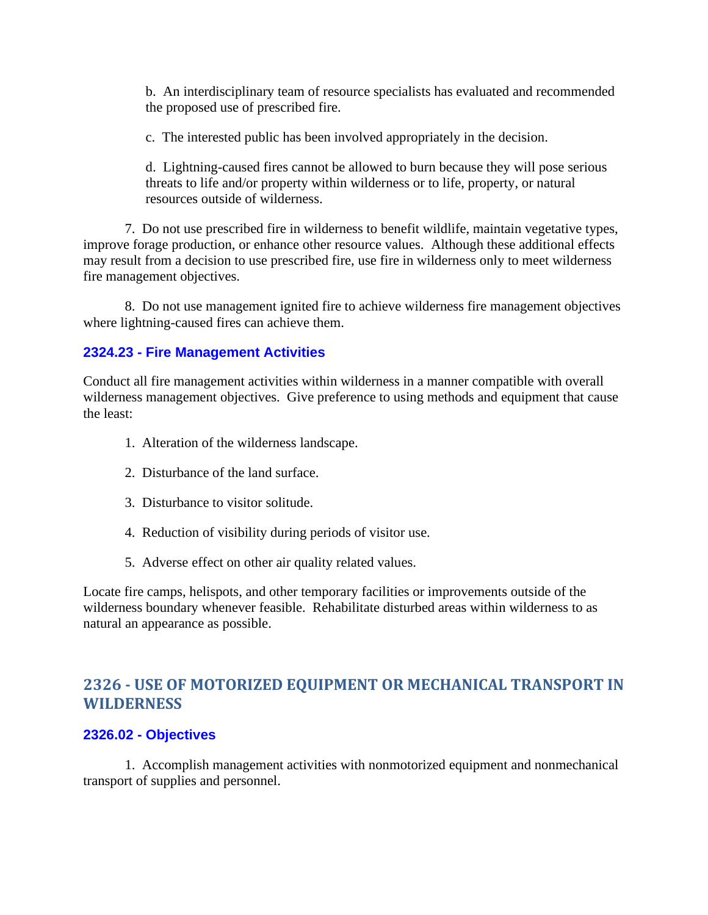b. An interdisciplinary team of resource specialists has evaluated and recommended the proposed use of prescribed fire.

c. The interested public has been involved appropriately in the decision.

d. Lightning-caused fires cannot be allowed to burn because they will pose serious threats to life and/or property within wilderness or to life, property, or natural resources outside of wilderness.

7. Do not use prescribed fire in wilderness to benefit wildlife, maintain vegetative types, improve forage production, or enhance other resource values. Although these additional effects may result from a decision to use prescribed fire, use fire in wilderness only to meet wilderness fire management objectives.

8. Do not use management ignited fire to achieve wilderness fire management objectives where lightning-caused fires can achieve them.

## **2324.23 - Fire Management Activities**

Conduct all fire management activities within wilderness in a manner compatible with overall wilderness management objectives. Give preference to using methods and equipment that cause the least:

- 1. Alteration of the wilderness landscape.
- 2. Disturbance of the land surface.
- 3. Disturbance to visitor solitude.
- 4. Reduction of visibility during periods of visitor use.
- 5. Adverse effect on other air quality related values.

Locate fire camps, helispots, and other temporary facilities or improvements outside of the wilderness boundary whenever feasible. Rehabilitate disturbed areas within wilderness to as natural an appearance as possible.

# **2326 - USE OF MOTORIZED EQUIPMENT OR MECHANICAL TRANSPORT IN WILDERNESS**

## **2326.02 - Objectives**

1. Accomplish management activities with nonmotorized equipment and nonmechanical transport of supplies and personnel.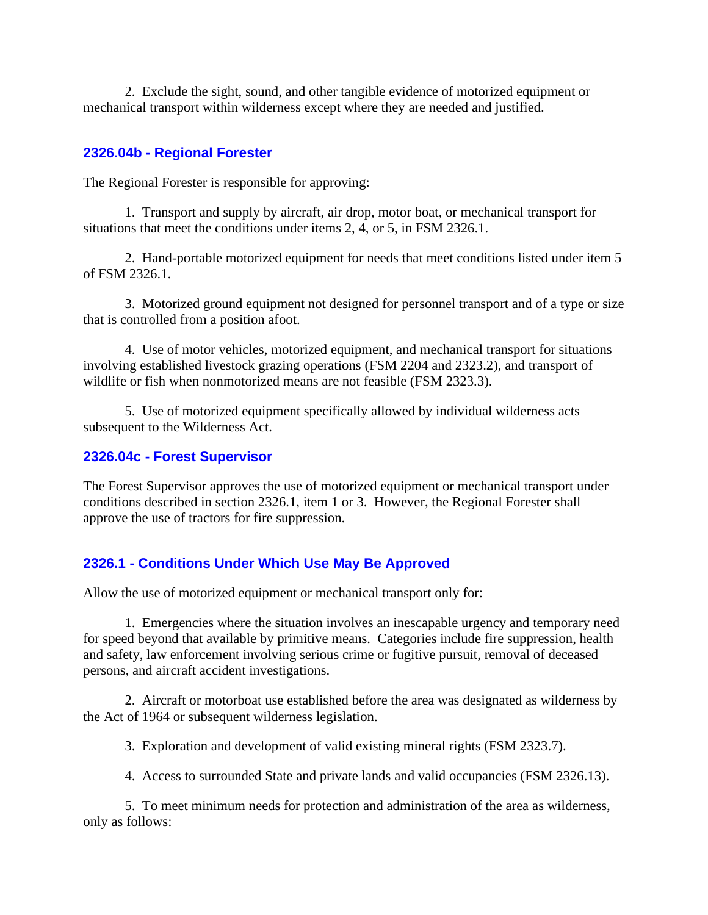2. Exclude the sight, sound, and other tangible evidence of motorized equipment or mechanical transport within wilderness except where they are needed and justified.

## **2326.04b - Regional Forester**

The Regional Forester is responsible for approving:

1. Transport and supply by aircraft, air drop, motor boat, or mechanical transport for situations that meet the conditions under items 2, 4, or 5, in FSM 2326.1.

2. Hand-portable motorized equipment for needs that meet conditions listed under item 5 of FSM 2326.1.

3. Motorized ground equipment not designed for personnel transport and of a type or size that is controlled from a position afoot.

4. Use of motor vehicles, motorized equipment, and mechanical transport for situations involving established livestock grazing operations (FSM 2204 and 2323.2), and transport of wildlife or fish when nonmotorized means are not feasible (FSM 2323.3).

5. Use of motorized equipment specifically allowed by individual wilderness acts subsequent to the Wilderness Act.

## **2326.04c - Forest Supervisor**

The Forest Supervisor approves the use of motorized equipment or mechanical transport under conditions described in section 2326.1, item 1 or 3. However, the Regional Forester shall approve the use of tractors for fire suppression.

## **2326.1 - Conditions Under Which Use May Be Approved**

Allow the use of motorized equipment or mechanical transport only for:

1. Emergencies where the situation involves an inescapable urgency and temporary need for speed beyond that available by primitive means. Categories include fire suppression, health and safety, law enforcement involving serious crime or fugitive pursuit, removal of deceased persons, and aircraft accident investigations.

2. Aircraft or motorboat use established before the area was designated as wilderness by the Act of 1964 or subsequent wilderness legislation.

3. Exploration and development of valid existing mineral rights (FSM 2323.7).

4. Access to surrounded State and private lands and valid occupancies (FSM 2326.13).

5. To meet minimum needs for protection and administration of the area as wilderness, only as follows: